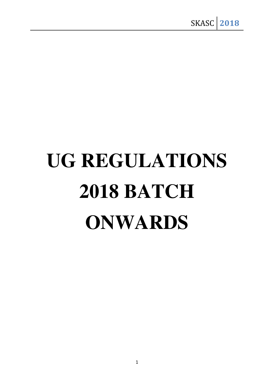# **UG REGULATIONS 2018 BATCH ONWARDS**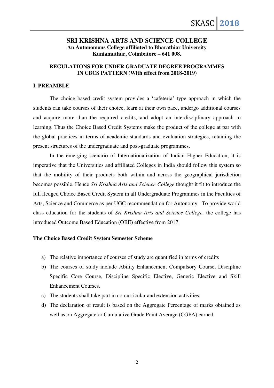# **SRI KRISHNA ARTS AND SCIENCE COLLEGE An Autonomous College affiliated to Bharathiar University Kuniamuthur, Coimbatore – 641 008.**

# **REGULATIONS FOR UNDER GRADUATE DEGREE PROGRAMMES IN CBCS PATTERN (With effect from 2018-2019)**

#### **I. PREAMBLE**

The choice based credit system provides a 'cafeteria' type approach in which the students can take courses of their choice, learn at their own pace, undergo additional courses and acquire more than the required credits, and adopt an interdisciplinary approach to learning. Thus the Choice Based Credit Systems make the product of the college at par with the global practices in terms of academic standards and evaluation strategies, retaining the present structures of the undergraduate and post-graduate programmes.

In the emerging scenario of Internationalization of Indian Higher Education, it is imperative that the Universities and affiliated Colleges in India should follow this system so that the mobility of their products both within and across the geographical jurisdiction becomes possible. Hence *Sri Krishna Arts and Science College* thought it fit to introduce the full fledged Choice Based Credit System in all Undergraduate Programmes in the Faculties of Arts, Science and Commerce as per UGC recommendation for Autonomy. To provide world class education for the students of *Sri Krishna Arts and Science College,* the college has introduced Outcome Based Education (OBE) effective from 2017.

### **The Choice Based Credit System Semester Scheme**

- a) The relative importance of courses of study are quantified in terms of credits
- b) The courses of study include Ability Enhancement Compulsory Course, Discipline Specific Core Course, Discipline Specific Elective, Generic Elective and Skill Enhancement Courses.
- c) The students shall take part in co-curricular and extension activities.
- d) The declaration of result is based on the Aggregate Percentage of marks obtained as well as on Aggregate or Cumulative Grade Point Average (CGPA) earned.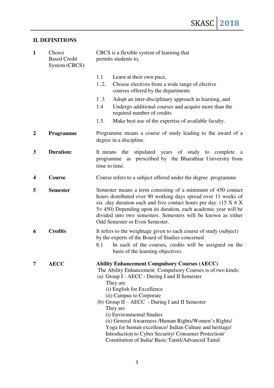# **II. DEFINITIONS**

| $\mathbf{1}$     | Choice<br><b>Based Credit</b><br>System (CBCS): | CBCS is a flexible system of learning that<br>permits students to,                                                                                                                                                                                                                                                                                                                                                                                                                                                                                                      |  |  |
|------------------|-------------------------------------------------|-------------------------------------------------------------------------------------------------------------------------------------------------------------------------------------------------------------------------------------------------------------------------------------------------------------------------------------------------------------------------------------------------------------------------------------------------------------------------------------------------------------------------------------------------------------------------|--|--|
|                  |                                                 | 1.1<br>Learn at their own pace,<br>12.<br>Choose electives from a wide range of elective<br>courses offered by the departments                                                                                                                                                                                                                                                                                                                                                                                                                                          |  |  |
|                  |                                                 | Adopt an inter-disciplinary approach in learning, and<br>1.3<br>Undergo additional courses and acquire more than the<br>1.4<br>required number of credits                                                                                                                                                                                                                                                                                                                                                                                                               |  |  |
|                  |                                                 | 1.5.<br>Make best use of the expertise of available faculty.                                                                                                                                                                                                                                                                                                                                                                                                                                                                                                            |  |  |
| $\boldsymbol{2}$ | <b>Programme</b>                                | Programme means a course of study leading to the award of a<br>degree in a discipline.                                                                                                                                                                                                                                                                                                                                                                                                                                                                                  |  |  |
| 3                | <b>Duration:</b>                                | stipulated years of study to complete a<br>the<br>It means<br>programme as prescribed by the Bharathiar University from<br>time to time.                                                                                                                                                                                                                                                                                                                                                                                                                                |  |  |
| 4                | Course                                          | Course refers to a subject offered under the degree programme                                                                                                                                                                                                                                                                                                                                                                                                                                                                                                           |  |  |
| 5                | <b>Semester</b>                                 | Semester means a term consisting of a minimum of 450 contact<br>hours distributed over 90 working days spread over 11 weeks of<br>six -day duration each and five contact hours per day. $(15 \times 6 \times$<br>5 = 450) Depending upon its duration, each academic year will be<br>divided into two semesters. Semesters will be known as either<br><b>Odd Semester or Even Semester.</b>                                                                                                                                                                            |  |  |
| 6                | <b>Credits</b>                                  | It refers to the weightage given to each course of study (subject)<br>by the experts of the Board of Studies concerned<br>6.1<br>In each of the courses, credits will be assigned on the<br>basis of the learning objectives.                                                                                                                                                                                                                                                                                                                                           |  |  |
| 7                | <b>AECC</b>                                     | <b>Ability Enhancement Compulsory Courses (AECC)</b><br>The Ability Enhancement Compulsory Courses is of two kinds:<br>(a) Group I - AECC - During I and II Semester<br>They are<br>(i) English for Excellence<br>(ii) Campus to Corporate<br>(b) Group $II - AECC - During I$ and II Semester<br>They are<br>(i) Environmental Studies<br>(ii) General Awareness /Human Rights/Women's Rights/<br>Yoga for human excellence/ Indian Culture and heritage/<br>Introduction to Cyber Security/ Consumer Protection/<br>Constitution of India/ Basic Tamil/Advanced Tamil |  |  |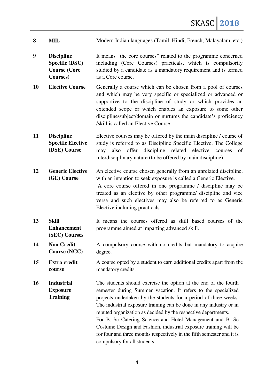- 8 **MIL** Modern Indian languages (Tamil, Hindi, French, Malayalam, etc.)
- **9 Discipline Specific (DSC) Course (Core Courses)**  It means "the core courses" related to the programme concerned including (Core Courses) practicals, which is compulsorily studied by a candidate as a mandatory requirement and is termed as a Core course.
- **10 Elective Course** Generally a course which can be chosen from a pool of courses and which may be very specific or specialized or advanced or supportive to the discipline of study or which provides an extended scope or which enables an exposure to some other discipline/subject/domain or nurtures the candidate's proficiency /skill is called an Elective Course.
- **11 Discipline Specific Elective (DSE) Course**  Elective courses may be offered by the main discipline / course of study is referred to as Discipline Specific Elective. The College may also offer discipline related elective courses of interdisciplinary nature (to be offered by main discipline).
- **12 Generic Elective (GE) Course**  An elective course chosen generally from an unrelated discipline, with an intention to seek exposure is called a Generic Elective. A core course offered in one programme / discipline may be treated as an elective by other programme/ discipline and vice versa and such electives may also be referred to as Generic Elective including practicals.
- **13 Skill Enhancement (SEC) Courses**  It means the courses offered as skill based courses of the programme aimed at imparting advanced skill.
- **14 Non Credit Course (NCC)**  A compulsory course with no credits but mandatory to acquire degree.
- **15 Extra credit course**  A course opted by a student to earn additional credits apart from the mandatory credits.

**16 Industrial Exposure Training**  The students should exercise the option at the end of the fourth semester during Summer vacation. It refers to the specialized projects undertaken by the students for a period of three weeks. The industrial exposure training can be done in any industry or in reputed organization as decided by the respective departments. For B. Sc Catering Science and Hotel Management and B. Sc Costume Design and Fashion, industrial exposure training will be for four and three months respectively in the fifth semester and it is compulsory for all students.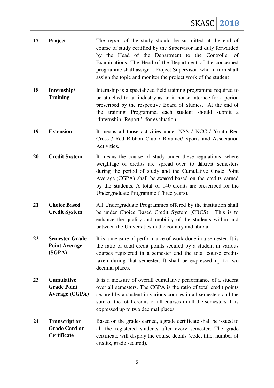| 17 | Project                                                          | The report of the study should be submitted at the end of<br>course of study certified by the Supervisor and duly forwarded<br>by the Head of the Department to the Controller of<br>Examinations. The Head of the Department of the concerned<br>programme shall assign a Project Supervisor, who in turn shall<br>assign the topic and monitor the project work of the student. |
|----|------------------------------------------------------------------|-----------------------------------------------------------------------------------------------------------------------------------------------------------------------------------------------------------------------------------------------------------------------------------------------------------------------------------------------------------------------------------|
| 18 | Internship/<br><b>Training</b>                                   | Internship is a specialized field training programme required to<br>be attached to an industry as an in house internee for a period<br>prescribed by the respective Board of Studies. At the end of<br>the training Programme, each student should submit a<br>"Internship Report" for evaluation.                                                                                |
| 19 | <b>Extension</b>                                                 | It means all those activities under NSS / NCC / Youth Red<br>Cross / Red Ribbon Club / Rotaract/ Sports and Association<br>Activities.                                                                                                                                                                                                                                            |
| 20 | <b>Credit System</b>                                             | It means the course of study under these regulations, where<br>weightage of credits are spread over to different semesters<br>during the period of study and the Cumulative Grade Point<br>Average (CGPA) shall be awarded based on the credits earned<br>by the students. A total of 140 credits are prescribed for the<br>Undergraduate Programme (Three years).                |
| 21 | <b>Choice Based</b><br><b>Credit System</b>                      | All Undergraduate Programmes offered by the institution shall<br>be under Choice Based Credit System (CBCS).<br>This is to<br>enhance the quality and mobility of the students within and<br>between the Universities in the country and abroad.                                                                                                                                  |
| 22 | <b>Semester Grade</b><br><b>Point Average</b><br>(SGPA)          | It is a measure of performance of work done in a semester. It is<br>the ratio of total credit points secured by a student in various<br>courses registered in a semester and the total course credits<br>taken during that semester. It shall be expressed up to two<br>decimal places.                                                                                           |
| 23 | <b>Cumulative</b><br><b>Grade Point</b><br><b>Average (CGPA)</b> | It is a measure of overall cumulative performance of a student<br>over all semesters. The CGPA is the ratio of total credit points<br>secured by a student in various courses in all semesters and the<br>sum of the total credits of all courses in all the semesters. It is<br>expressed up to two decimal places.                                                              |
| 24 | <b>Transcript or</b><br><b>Grade Card or</b><br>Certificate      | Based on the grades earned, a grade certificate shall be issued to<br>all the registered students after every semester. The grade<br>certificate will display the course details (code, title, number of<br>credits, grade secured).                                                                                                                                              |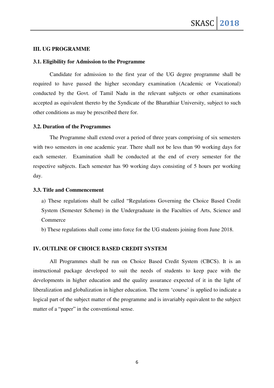# **III. UG PROGRAMME**

#### **3.1. Eligibility for Admission to the Programme**

Candidate for admission to the first year of the UG degree programme shall be required to have passed the higher secondary examination (Academic or Vocational) conducted by the Govt. of Tamil Nadu in the relevant subjects or other examinations accepted as equivalent thereto by the Syndicate of the Bharathiar University, subject to such other conditions as may be prescribed there for.

#### **3.2. Duration of the Programmes**

The Programme shall extend over a period of three years comprising of six semesters with two semesters in one academic year. There shall not be less than 90 working days for each semester. Examination shall be conducted at the end of every semester for the respective subjects. Each semester has 90 working days consisting of 5 hours per working day.

#### **3.3. Title and Commencement**

a) These regulations shall be called "Regulations Governing the Choice Based Credit System (Semester Scheme) in the Undergraduate in the Faculties of Arts, Science and Commerce

b) These regulations shall come into force for the UG students joining from June 2018.

#### **IV. OUTLINE OF CHOICE BASED CREDIT SYSTEM**

All Programmes shall be run on Choice Based Credit System (CBCS). It is an instructional package developed to suit the needs of students to keep pace with the developments in higher education and the quality assurance expected of it in the light of liberalization and globalization in higher education. The term 'course' is applied to indicate a logical part of the subject matter of the programme and is invariably equivalent to the subject matter of a "paper" in the conventional sense.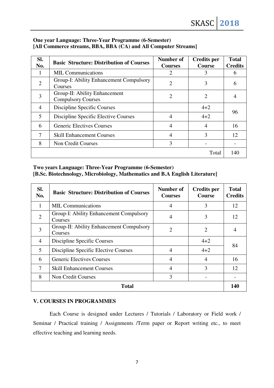# **One year Language: Three-Year Programme (6-Semester) [All Commerce streams, BBA, BBA (CA) and All Computer Streams]**

| SI.<br>No.     | <b>Basic Structure: Distribution of Courses</b>            | Number of<br><b>Courses</b> | <b>Credits per</b><br><b>Course</b> | <b>Total</b><br><b>Credits</b> |
|----------------|------------------------------------------------------------|-----------------------------|-------------------------------------|--------------------------------|
|                | <b>MIL Communications</b>                                  | $\overline{2}$              | 3                                   | 6                              |
| $\overline{2}$ | Group-I: Ability Enhancement Compulsory<br>Courses         | $\overline{c}$              | 3                                   | 6                              |
| 3              | Group-II: Ability Enhancement<br><b>Compulsory Courses</b> | $\overline{2}$              | $\overline{2}$                      | 4                              |
| $\overline{4}$ | Discipline Specific Courses                                |                             | $4 + 2$                             | 96                             |
| 5              | Discipline Specific Elective Courses                       | 4                           | $4 + 2$                             |                                |
| 6              | <b>Generic Electives Courses</b>                           | $\overline{4}$              | $\overline{4}$                      | 16                             |
| 7              | <b>Skill Enhancement Courses</b>                           | $\overline{4}$              | 3                                   | 12                             |
| 8              | <b>Non Credit Courses</b>                                  | 3                           |                                     |                                |
|                |                                                            |                             | Total                               | 140                            |

**Two years Language: Three-Year Programme (6-Semester)** 

**[B.Sc. Biotechnology, Microbiology, Mathematics and B.A English Literature]** 

| SI.<br>No.     | <b>Basic Structure: Distribution of Courses</b>     | Number of<br><b>Courses</b> | <b>Credits per</b><br><b>Course</b> | <b>Total</b><br><b>Credits</b> |  |
|----------------|-----------------------------------------------------|-----------------------------|-------------------------------------|--------------------------------|--|
| 1              | <b>MIL Communications</b>                           | 4                           | 3                                   | 12                             |  |
| $\overline{2}$ | Group-I: Ability Enhancement Compulsory<br>Courses  | 4                           | 3                                   | 12                             |  |
| 3              | Group-II: Ability Enhancement Compulsory<br>Courses | $\overline{2}$              | $\overline{2}$                      | 4                              |  |
| $\overline{4}$ | Discipline Specific Courses                         |                             | $4 + 2$                             | 84                             |  |
| 5              | Discipline Specific Elective Courses                | $\overline{4}$              | $4 + 2$                             |                                |  |
| 6              | <b>Generic Electives Courses</b>                    | $\overline{4}$              | $\overline{4}$                      | 16                             |  |
| $\overline{7}$ | <b>Skill Enhancement Courses</b>                    | 4                           | 3                                   | 12                             |  |
| 8              | Non Credit Courses                                  | 3                           |                                     |                                |  |
|                | Total                                               |                             |                                     |                                |  |

# **V. COURSES IN PROGRAMMES**

Each Course is designed under Lectures / Tutorials / Laboratory or Field work / Seminar / Practical training / Assignments /Term paper or Report writing etc., to meet effective teaching and learning needs.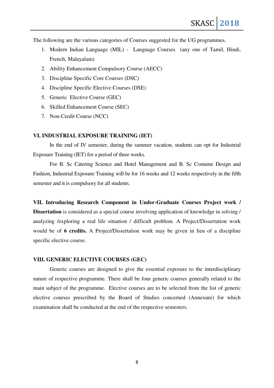The following are the various categories of Courses suggested for the UG programmes.

- 1. Modern Indian Language (MIL) Language Courses (any one of Tamil, Hindi, French, Malayalam)
- 2. Ability Enhancement Compulsory Course (AECC)
- 3. Discipline Specific Core Courses (DSC)
- 4. Discipline Specific Elective Courses (DSE)
- 5. Generic Elective Course (GEC)
- 6. Skilled Enhancement Course (SEC)
- 7. Non-Credit Course (NCC)

#### **VI. INDUSTRIAL EXPOSURE TRAINING (IET)**

In the end of IV semester, during the summer vacation, students can opt for Industrial Exposure Training (IET) for a period of three weeks.

For B. Sc Catering Science and Hotel Management and B. Sc Costume Design and Fashion, Industrial Exposure Training will be for 16 weeks and 12 weeks respectively in the fifth semester and it is compulsory for all students.

**VII. Introducing Research Component in Under-Graduate Courses Project work / Dissertation** is considered as a special course involving application of knowledge in solving / analyzing /exploring a real life situation / difficult problem. A Project/Dissertation work would be of **6 credits.** A Project/Dissertation work may be given in lieu of a discipline specific elective course.

#### **VIII. GENERIC ELECTIVE COURSES (GEC)**

Generic courses are designed to give the essential exposure to the interdisciplinary nature of respective programme. There shall be four generic courses generally related to the main subject of the programme. Elective courses are to be selected from the list of generic elective courses prescribed by the Board of Studies concerned (Annexure) for which examination shall be conducted at the end of the respective semesters.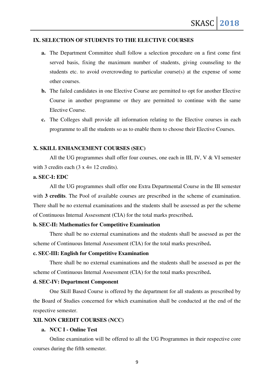#### **IX. SELECTION OF STUDENTS TO THE ELECTIVE COURSES**

- **a.** The Department Committee shall follow a selection procedure on a first come first served basis, fixing the maximum number of students, giving counseling to the students etc. to avoid overcrowding to particular course(s) at the expense of some other courses.
- **b.** The failed candidates in one Elective Course are permitted to opt for another Elective Course in another programme or they are permitted to continue with the same Elective Course.
- **c.** The Colleges shall provide all information relating to the Elective courses in each programme to all the students so as to enable them to choose their Elective Courses.

#### **X. SKILL ENHANCEMENT COURSES (SEC)**

All the UG programmes shall offer four courses, one each in III, IV, V & VI semester with 3 credits each  $(3 \times 4 = 12 \text{ credits})$ .

# **a. SEC-I: EDC**

All the UG programmes shall offer one Extra Departmental Course in the III semester with **3 credits**. The Pool of available courses are prescribed in the scheme of examination. There shall be no external examinations and the students shall be assessed as per the scheme of Continuous Internal Assessment (CIA) for the total marks prescribed**.** 

#### **b. SEC-II: Mathematics for Competitive Examination**

There shall be no external examinations and the students shall be assessed as per the scheme of Continuous Internal Assessment (CIA) for the total marks prescribed**.** 

# **c. SEC-III: English for Competitive Examination**

There shall be no external examinations and the students shall be assessed as per the scheme of Continuous Internal Assessment (CIA) for the total marks prescribed**.** 

#### **d. SEC-IV: Department Component**

One Skill Based Course is offered by the department for all students as prescribed by the Board of Studies concerned for which examination shall be conducted at the end of the respective semester.

# **XII. NON CREDIT COURSES (NCC)**

#### **a. NCC I - Online Test**

Online examination will be offered to all the UG Programmes in their respective core courses during the fifth semester.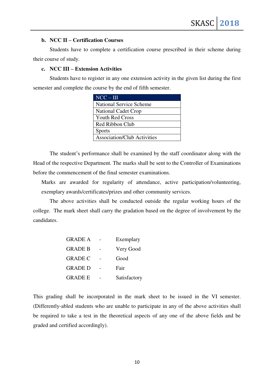## **b. NCC II – Certification Courses**

Students have to complete a certification course prescribed in their scheme during their course of study.

### **c. NCC III – Extension Activities**

Students have to register in any one extension activity in the given list during the first semester and complete the course by the end of fifth semester.

| $NCC - III$                        |
|------------------------------------|
| <b>National Service Scheme</b>     |
| <b>National Cadet Crop</b>         |
| <b>Youth Red Cross</b>             |
| Red Ribbon Club                    |
| <b>Sports</b>                      |
| <b>Association/Club Activities</b> |

The student's performance shall be examined by the staff coordinator along with the Head of the respective Department. The marks shall be sent to the Controller of Examinations before the commencement of the final semester examinations.

Marks are awarded for regularity of attendance, active participation/volunteering, exemplary awards/certificates/prizes and other community services.

The above activities shall be conducted outside the regular working hours of the college. The mark sheet shall carry the gradation based on the degree of involvement by the candidates.

| <b>GRADE A</b> | Exemplary    |
|----------------|--------------|
| <b>GRADE B</b> | Very Good    |
| <b>GRADE C</b> | Good         |
| <b>GRADE D</b> | Fair         |
| <b>GRADE E</b> | Satisfactory |

This grading shall be incorporated in the mark sheet to be issued in the VI semester. (Differently-abled students who are unable to participate in any of the above activities shall be required to take a test in the theoretical aspects of any one of the above fields and be graded and certified accordingly).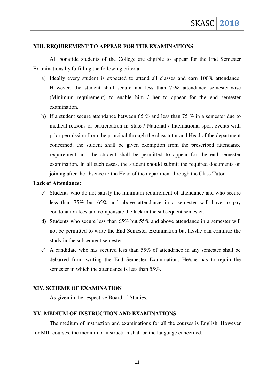### **XIII. REQUIREMENT TO APPEAR FOR THE EXAMINATIONS**

All bonafide students of the College are eligible to appear for the End Semester Examinations by fulfilling the following criteria:

- a) Ideally every student is expected to attend all classes and earn 100% attendance. However, the student shall secure not less than 75% attendance semester-wise (Minimum requirement) to enable him / her to appear for the end semester examination.
- b) If a student secure attendance between 65  $\%$  and less than 75  $\%$  in a semester due to medical reasons or participation in State / National / International sport events with prior permission from the principal through the class tutor and Head of the department concerned, the student shall be given exemption from the prescribed attendance requirement and the student shall be permitted to appear for the end semester examination. In all such cases, the student should submit the required documents on joining after the absence to the Head of the department through the Class Tutor.

#### **Lack of Attendance:**

- c) Students who do not satisfy the minimum requirement of attendance and who secure less than 75% but 65% and above attendance in a semester will have to pay condonation fees and compensate the lack in the subsequent semester.
- d) Students who secure less than 65% but 55% and above attendance in a semester will not be permitted to write the End Semester Examination but he/she can continue the study in the subsequent semester.
- e) A candidate who has secured less than 55% of attendance in any semester shall be debarred from writing the End Semester Examination. He/she has to rejoin the semester in which the attendance is less than 55%.

#### **XIV. SCHEME OF EXAMINATION**

As given in the respective Board of Studies.

## **XV. MEDIUM OF INSTRUCTION AND EXAMINATIONS**

The medium of instruction and examinations for all the courses is English. However for MIL courses, the medium of instruction shall be the language concerned.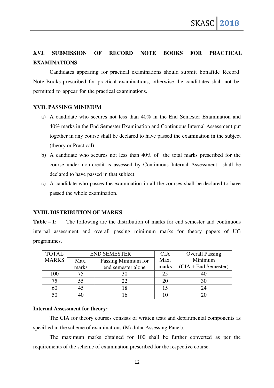# **XVI. SUBMISSION OF RECORD NOTE BOOKS FOR PRACTICAL EXAMINATIONS**

Candidates appearing for practical examinations should submit bonafide Record Note Books prescribed for practical examinations, otherwise the candidates shall not be permitted to appear for the practical examinations.

#### **XVII. PASSING MINIMUM**

- a) A candidate who secures not less than 40% in the End Semester Examination and 40% marks in the End Semester Examination and Continuous Internal Assessment put together in any course shall be declared to have passed the examination in the subject (theory or Practical).
- b) A candidate who secures not less than 40% of the total marks prescribed for the course under non-credit is assessed by Continuous Internal Assessment shall be declared to have passed in that subject.
- c) A candidate who passes the examination in all the courses shall be declared to have passed the whole examination.

# **XVIII. DISTRIBUTION OF MARKS**

**Table – 1:** The following are the distribution of marks for end semester and continuous internal assessment and overall passing minimum marks for theory papers of UG programmes.

| <b>TOTAL</b> | <b>END SEMESTER</b>         |    | <b>CIA</b> | <b>Overall Passing</b> |
|--------------|-----------------------------|----|------------|------------------------|
| <b>MARKS</b> | Passing Minimum for<br>Max. |    | Max.       | Minimum                |
|              | end semester alone<br>marks |    | marks      | $(CIA + End Semester)$ |
| 100          |                             | 30 | 25         |                        |
| 75           |                             | 22 | 20         |                        |
| 60           |                             |    |            |                        |
| 50           |                             |    |            |                        |

#### **Internal Assessment for theory:**

The CIA for theory courses consists of written tests and departmental components as specified in the scheme of examinations (Modular Assessing Panel).

The maximum marks obtained for 100 shall be further converted as per the requirements of the scheme of examination prescribed for the respective course.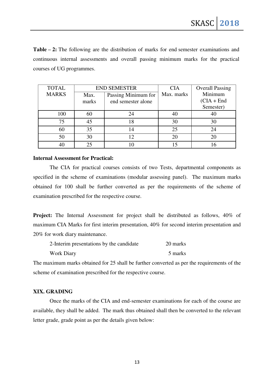**Table – 2:** The following are the distribution of marks for end semester examinations and continuous internal assessments and overall passing minimum marks for the practical courses of UG programmes.

| <b>TOTAL</b> |       | <b>END SEMESTER</b> | <b>CIA</b> | <b>Overall Passing</b> |
|--------------|-------|---------------------|------------|------------------------|
| <b>MARKS</b> | Max.  | Passing Minimum for | Max. marks | Minimum                |
|              | marks | end semester alone  |            | $(CIA + End$           |
|              |       |                     |            | Semester)              |
| 100          | 60    | 24                  |            | 40                     |
| 75           | 45    | 18                  | 30         | 30                     |
| 60           | 35    | 14                  | 25         | 24                     |
| 50           | 30    |                     | 20         | 20                     |
| 40           |       |                     | 15         |                        |

#### **Internal Assessment for Practical:**

The CIA for practical courses consists of two Tests, departmental components as specified in the scheme of examinations (modular assessing panel). The maximum marks obtained for 100 shall be further converted as per the requirements of the scheme of examination prescribed for the respective course.

**Project:** The Internal Assessment for project shall be distributed as follows, 40% of maximum CIA Marks for first interim presentation, 40% for second interim presentation and 20% for work diary maintenance.

| 2-Interim presentations by the candidate | 20 marks |
|------------------------------------------|----------|
| <b>Work Diary</b>                        | 5 marks  |

The maximum marks obtained for 25 shall be further converted as per the requirements of the scheme of examination prescribed for the respective course.

### **XIX. GRADING**

Once the marks of the CIA and end-semester examinations for each of the course are available, they shall be added. The mark thus obtained shall then be converted to the relevant letter grade, grade point as per the details given below: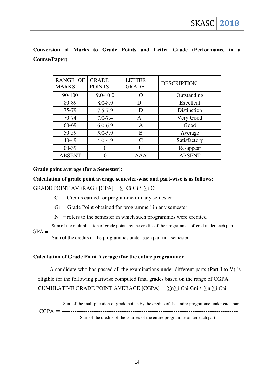**Conversion of Marks to Grade Points and Letter Grade (Performance in a Course/Paper)** 

| <b>RANGE OF</b><br><b>MARKS</b> | <b>GRADE</b><br><b>POINTS</b> | <b>LETTER</b><br><b>GRADE</b> | <b>DESCRIPTION</b> |
|---------------------------------|-------------------------------|-------------------------------|--------------------|
| 90-100                          | $9.0 - 10.0$                  |                               | Outstanding        |
| 80-89                           | 8.0-8.9                       | $D+$                          | Excellent          |
| 75-79                           | $7.5 - 7.9$                   | D                             | Distinction        |
| 70-74                           | $7.0 - 7.4$                   | $A+$                          | Very Good          |
| 60-69                           | $6.0 - 6.9$                   | A                             | Good               |
| 50-59                           | 5.0-5.9                       | B                             | Average            |
| 40-49                           | $4.0 - 4.9$                   | $\mathcal{C}_{\mathcal{C}}$   | Satisfactory       |
| $00-39$                         |                               | H                             | Re-appear          |
| <b>ABSENT</b>                   |                               | AAA                           | <b>ABSENT</b>      |

**Grade point average (for a Semester):** 

**Calculation of grade point average semester-wise and part-wise is as follows:**  GRADE POINT AVERAGE [GPA] =  $\Sigma$ i Ci Gi /  $\Sigma$ i Ci

 $Ci = C$ redits earned for programme i in any semester

 $Gi = Grade Point obtained for programme i in any semester$ 

 $N$  = refers to the semester in which such programmes were credited

Sum of the multiplication of grade points by the credits of the programmes offered under each part GPA = --------------------------------------------------------------------------------------------------------

Sum of the credits of the programmes under each part in a semester

# **Calculation of Grade Point Average (for the entire programme):**

A candidate who has passed all the examinations under different parts (Part-I to V) is eligible for the following partwise computed final grades based on the range of CGPA. CUMULATIVE GRADE POINT AVERAGE [CGPA] =  $\sum n \sum i$  Cni Gni /  $\sum n \sum i$  Cni

Sum of the multiplication of grade points by the credits of the entire programme under each part CGPA = ---------------------------------------------------------------------------------- Sum of the credits of the courses of the entire programme under each part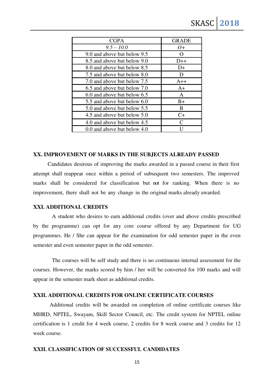| <b>CGPA</b>                 | <b>GRADE</b>       |
|-----------------------------|--------------------|
| $9.5 - 10.0$                | $O+$               |
| 9.0 and above but below 9.5 | $\left( \ \right)$ |
| 8.5 and above but below 9.0 | $D++$              |
| 8.0 and above but below 8.5 | $D+$               |
| 7.5 and above but below 8.0 | D                  |
| 7.0 and above but below 7.5 | $A++$              |
| 6.5 and above but below 7.0 | $A+$               |
| 6.0 and above but below 6.5 | A                  |
| 5.5 and above but below 6.0 | $B+$               |
| 5.0 and above but below 5.5 | B                  |
| 4.5 and above but below 5.0 | $C+$               |
| 4.0 and above but below 4.5 | $\subset$          |
| 0.0 and above but below 4.0 |                    |

#### **XX. IMPROVEMENT OF MARKS IN THE SUBJECTS ALREADY PASSED**

Candidates desirous of improving the marks awarded in a passed course in their first attempt shall reappear once within a period of subsequent two semesters. The improved marks shall be considered for classification but not for ranking. When there is no improvement, there shall not be any change in the original marks already awarded.

#### **XXI. ADDITIONAL CREDITS**

 A student who desires to earn additional credits (over and above credits prescribed by the programme) can opt for any core course offered by any Department for UG programmes. He / She can appear for the examination for odd semester paper in the even semester and even semester paper in the odd semester.

 The courses will be self study and there is no continuous internal assessment for the courses. However, the marks scored by him / her will be converted for 100 marks and will appear in the semester mark sheet as additional credits.

#### **XXII. ADDITIONAL CREDITS FOR ONLINE CERTIFICATE COURSES**

 Additional credits will be awarded on completion of online certificate courses like MHRD, NPTEL, Swayam, Skill Sector Council, etc. The credit system for NPTEL online certification is 1 credit for 4 week course, 2 credits for 8 week course and 3 credits for 12 week course.

#### **XXII. CLASSIFICATION OF SUCCESSFUL CANDIDATES**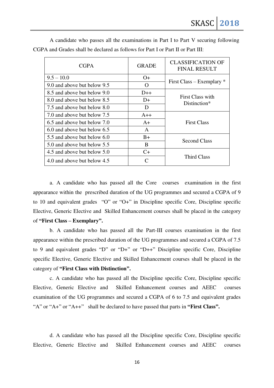| <b>CGPA</b>                     | <b>GRADE</b> | <b>CLASSIFICATION OF</b><br><b>FINAL RESULT</b> |  |
|---------------------------------|--------------|-------------------------------------------------|--|
| $9.5 - 10.0$                    | $O+$         |                                                 |  |
| 9.0 and above but below 9.5     | $\Omega$     | First Class – Exemplary $*$                     |  |
| 8.5 and above but below 9.0     | $D++$        |                                                 |  |
| 8.0 and above but below 8.5     | D+           | First Class with<br>Distinction*                |  |
| 7.5 and above but below 8.0     | D            |                                                 |  |
| 7.0 and above but below 7.5     | $A++$        |                                                 |  |
| 6.5 and above but below 7.0     | $A+$         | <b>First Class</b>                              |  |
| $6.0$ and above but below $6.5$ | A            |                                                 |  |
| 5.5 and above but below 6.0     | $B+$         |                                                 |  |
| 5.0 and above but below 5.5     | <sub>B</sub> | <b>Second Class</b>                             |  |
| 4.5 and above but below 5.0     | $C+$         |                                                 |  |
| 4.0 and above but below 4.5     |              | Third Class                                     |  |

 A candidate who passes all the examinations in Part I to Part V securing following CGPA and Grades shall be declared as follows for Part I or Part II or Part III:

a. A candidate who has passed all the Core courses examination in the first appearance within the prescribed duration of the UG programmes and secured a CGPA of 9 to 10 and equivalent grades "O" or "O+" in Discipline specific Core, Discipline specific Elective, Generic Elective and Skilled Enhancement courses shall be placed in the category of **"First Class – Exemplary".** 

b. A candidate who has passed all the Part-III courses examination in the first appearance within the prescribed duration of the UG programmes and secured a CGPA of 7.5 to 9 and equivalent grades "D" or "D+" or "D++" Discipline specific Core, Discipline specific Elective, Generic Elective and Skilled Enhancement courses shall be placed in the category of **"First Class with Distinction".** 

c. A candidate who has passed all the Discipline specific Core, Discipline specific Elective, Generic Elective and Skilled Enhancement courses and AEEC courses examination of the UG programmes and secured a CGPA of 6 to 7.5 and equivalent grades "A" or "A+" or "A++" shall be declared to have passed that parts in **"First Class".** 

d. A candidate who has passed all the Discipline specific Core, Discipline specific Elective, Generic Elective and Skilled Enhancement courses and AEEC courses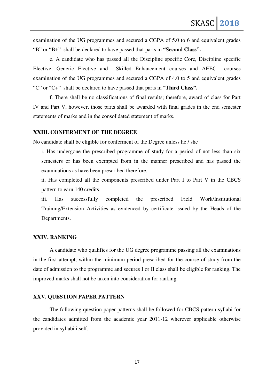examination of the UG programmes and secured a CGPA of 5.0 to 6 and equivalent grades "B" or "B+" shall be declared to have passed that parts in **"Second Class".** 

e. A candidate who has passed all the Discipline specific Core, Discipline specific Elective, Generic Elective and Skilled Enhancement courses and AEEC courses examination of the UG programmes and secured a CGPA of 4.0 to 5 and equivalent grades "C" or "C+" shall be declared to have passed that parts in "**Third Class".**

f. There shall be no classifications of final results; therefore, award of class for Part IV and Part V, however, those parts shall be awarded with final grades in the end semester statements of marks and in the consolidated statement of marks.

#### **XXIII. CONFERMENT OF THE DEGREE**

No candidate shall be eligible for conferment of the Degree unless he / she

i. Has undergone the prescribed programme of study for a period of not less than six semesters or has been exempted from in the manner prescribed and has passed the examinations as have been prescribed therefore.

ii. Has completed all the components prescribed under Part I to Part V in the CBCS pattern to earn 140 credits.

iii. Has successfully completed the prescribed Field Work/Institutional Training/Extension Activities as evidenced by certificate issued by the Heads of the Departments.

#### **XXIV. RANKING**

A candidate who qualifies for the UG degree programme passing all the examinations in the first attempt, within the minimum period prescribed for the course of study from the date of admission to the programme and secures I or II class shall be eligible for ranking. The improved marks shall not be taken into consideration for ranking.

#### **XXV. QUESTION PAPER PATTERN**

The following question paper patterns shall be followed for CBCS pattern syllabi for the candidates admitted from the academic year 2011-12 wherever applicable otherwise provided in syllabi itself.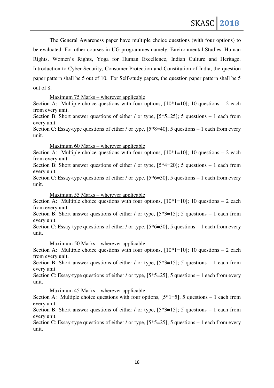The General Awareness paper have multiple choice questions (with four options) to be evaluated. For other courses in UG programmes namely, Environmental Studies, Human Rights, Women's Rights, Yoga for Human Excellence, Indian Culture and Heritage, Introduction to Cyber Security, Consumer Protection and Constitution of India, the question paper pattern shall be 5 out of 10. For Self-study papers, the question paper pattern shall be 5 out of 8.

### Maximum 75 Marks – wherever applicable

Section A: Multiple choice questions with four options,  $[10*1=10]$ ; 10 questions – 2 each from every unit.

Section B: Short answer questions of either / or type,  $[5*5=25]$ ; 5 questions – 1 each from every unit.

Section C: Essay-type questions of either / or type,  $[5*8=40]$ ; 5 questions – 1 each from every unit.

Maximum 60 Marks – wherever applicable

Section A: Multiple choice questions with four options,  $[10*1=10]$ ; 10 questions – 2 each from every unit.

Section B: Short answer questions of either / or type,  $[5*4=20]$ ; 5 questions – 1 each from every unit.

Section C: Essay-type questions of either / or type,  $[5*6=30]$ ; 5 questions – 1 each from every unit.

## Maximum 55 Marks – wherever applicable

Section A: Multiple choice questions with four options,  $[10*1=10]$ ; 10 questions – 2 each from every unit.

Section B: Short answer questions of either / or type,  $[5*3=15]$ ; 5 questions – 1 each from every unit.

Section C: Essay-type questions of either / or type,  $[5*6=30]$ ; 5 questions – 1 each from every unit.

Maximum 50 Marks – wherever applicable

Section A: Multiple choice questions with four options,  $[10*1=10]$ ; 10 questions – 2 each from every unit.

Section B: Short answer questions of either / or type,  $[5*3=15]$ ; 5 questions – 1 each from every unit.

Section C: Essay-type questions of either / or type,  $[5*5=25]$ ; 5 questions – 1 each from every unit.

Maximum 45 Marks – wherever applicable

Section A: Multiple choice questions with four options,  $[5*1=5]$ ; 5 questions – 1 each from every unit.

Section B: Short answer questions of either / or type,  $[5*3=15]$ ; 5 questions – 1 each from every unit.

Section C: Essay-type questions of either / or type,  $[5*5=25]$ ; 5 questions – 1 each from every unit.